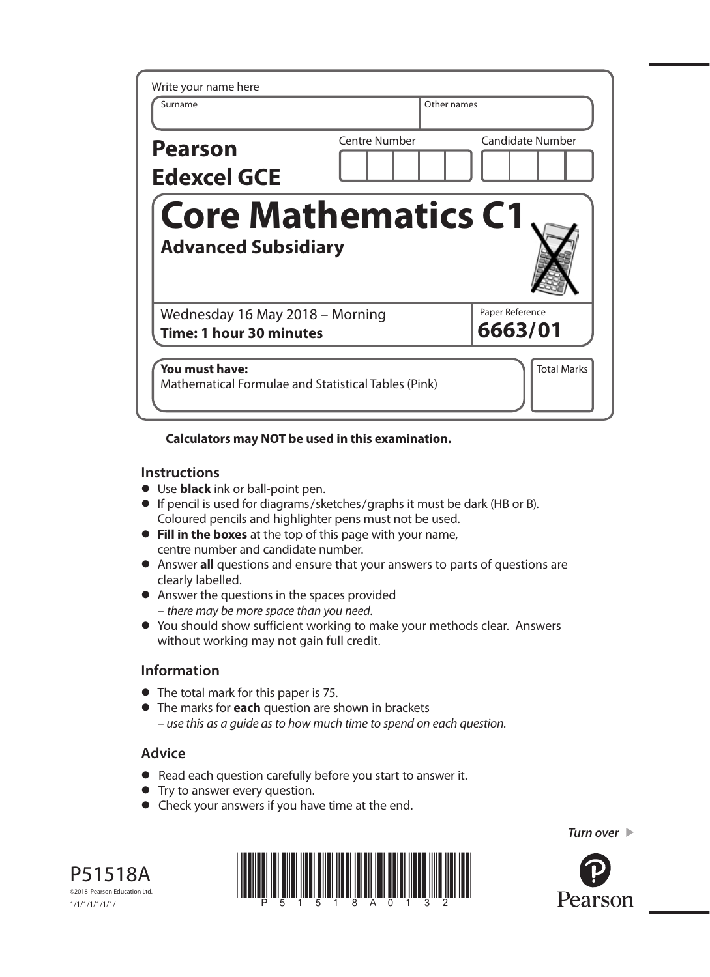| Write your name here<br>Surname                                   | Other names          |                            |
|-------------------------------------------------------------------|----------------------|----------------------------|
| <b>Pearson</b><br><b>Edexcel GCE</b>                              | <b>Centre Number</b> | <b>Candidate Number</b>    |
| <b>Core Mathematics C1</b>                                        |                      |                            |
| <b>Advanced Subsidiary</b>                                        |                      |                            |
| Wednesday 16 May 2018 – Morning<br><b>Time: 1 hour 30 minutes</b> |                      | Paper Reference<br>6663/01 |

## **Calculators may NOT be used in this examination.**

#### **Instructions**

- **•** Use **black** ink or ball-point pen.
- **•** If pencil is used for diagrams/sketches/graphs it must be dark (HB or B). Coloured pencils and highlighter pens must not be used.
- **• Fill in the boxes** at the top of this page with your name, centre number and candidate number.
- **•** Answer **all** questions and ensure that your answers to parts of questions are clearly labelled.
- **•** Answer the questions in the spaces provided – *there may be more space than you need*.
- **•** You should show sufficient working to make your methods clear. Answers without working may not gain full credit.

## **Information**

- **•** The total mark for this paper is 75.
- **•** The marks for **each** question are shown in brackets *– use this as a guide as to how much time to spend on each question.*

# **Advice**

- **•** Read each question carefully before you start to answer it.
- **•** Try to answer every question.
- **•** Check your answers if you have time at the end.







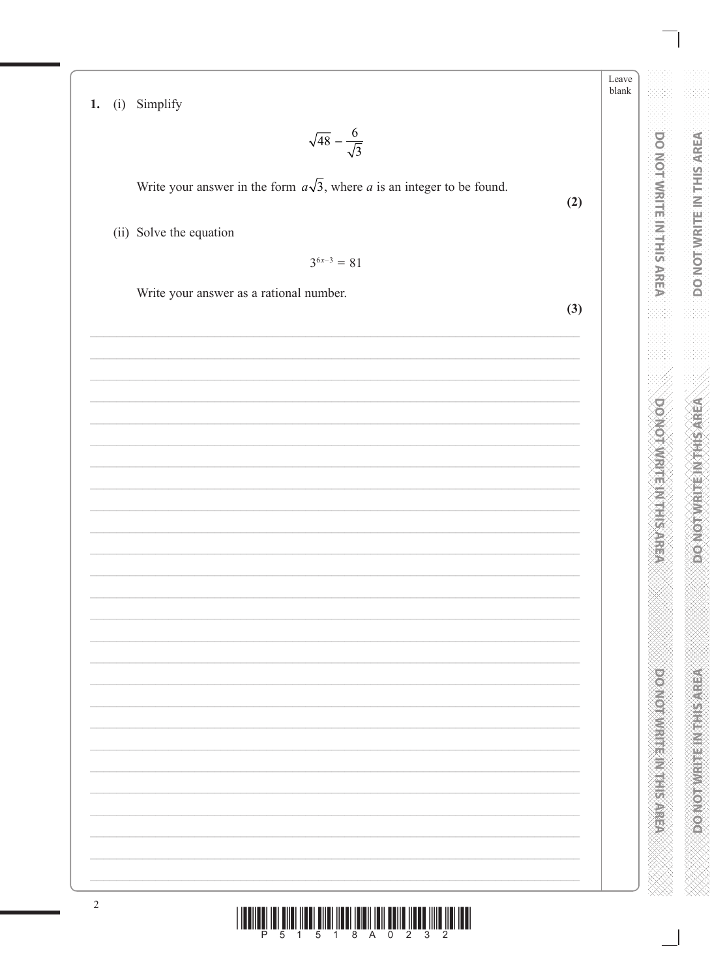| 1. | (i) | Simplify |
|----|-----|----------|
|    |     |          |

$$
\sqrt{48} - \frac{6}{\sqrt{3}}
$$

Write your answer in the form  $a\sqrt{3}$ , where a is an integer to be found.

(ii) Solve the equation

 $3^{6x-3} = 81$ 

Write your answer as a rational number.

 $(2)$ 

Leave blank

DO NOT WRITE IN THIS AREA

**DO NOT WRITE IN THIS AREA** 

**PROVIDING THE REAL PROPERTY** 

 $(3)$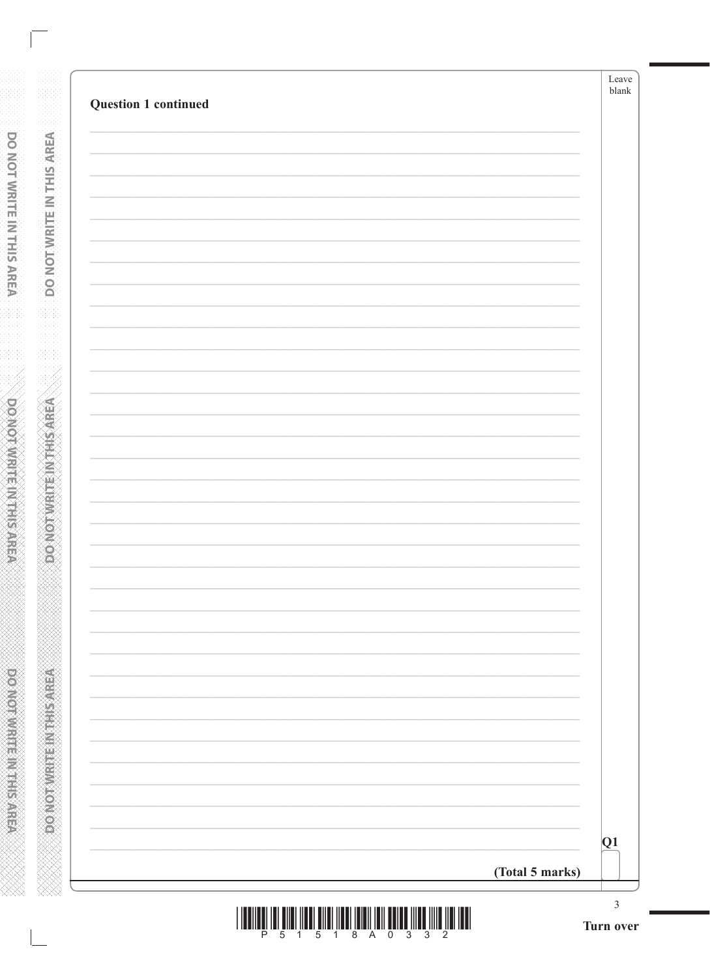**DO NOTWRITE IN THIS AREA** 

**PORTAGE IN THE AREA** 

| <u>TI III DI III DI III DI III DI III DI III DI III DI III DI III DI III DI III DI III DI III DI III D</u> |  |  |  |  |  |
|------------------------------------------------------------------------------------------------------------|--|--|--|--|--|
| P 5 1 5 1 8 A 0 3 3 2                                                                                      |  |  |  |  |  |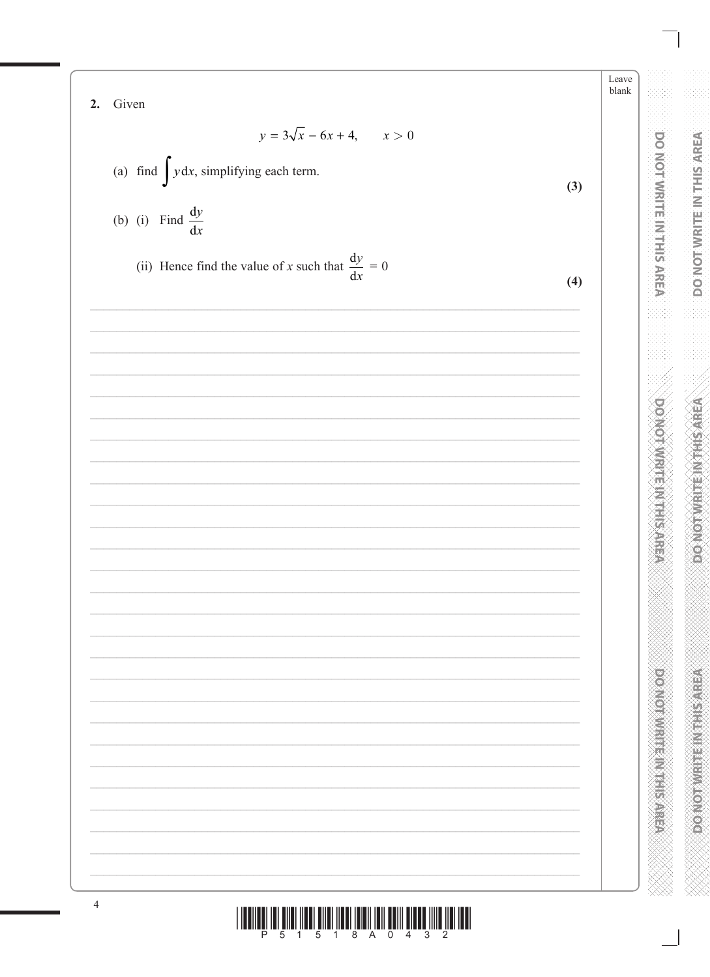Leave blank 2. Given  $y = 3\sqrt{x} - 6x + 4, \qquad x > 0$ (a) find  $\int y dx$ , simplifying each term.  $(3)$ (b) (i) Find  $\frac{dy}{dx}$ (ii) Hence find the value of x such that  $\frac{dy}{dx} = 0$  $(4)$  $\overline{4}$ <u>nında ını aını İlanı Bilni İlanı Banıl'ını Ballı Tinna İllik Ilalı</u>

**DOMOTVIRTINITHIS AREA** 

**Production of the Second Second Second Second Second**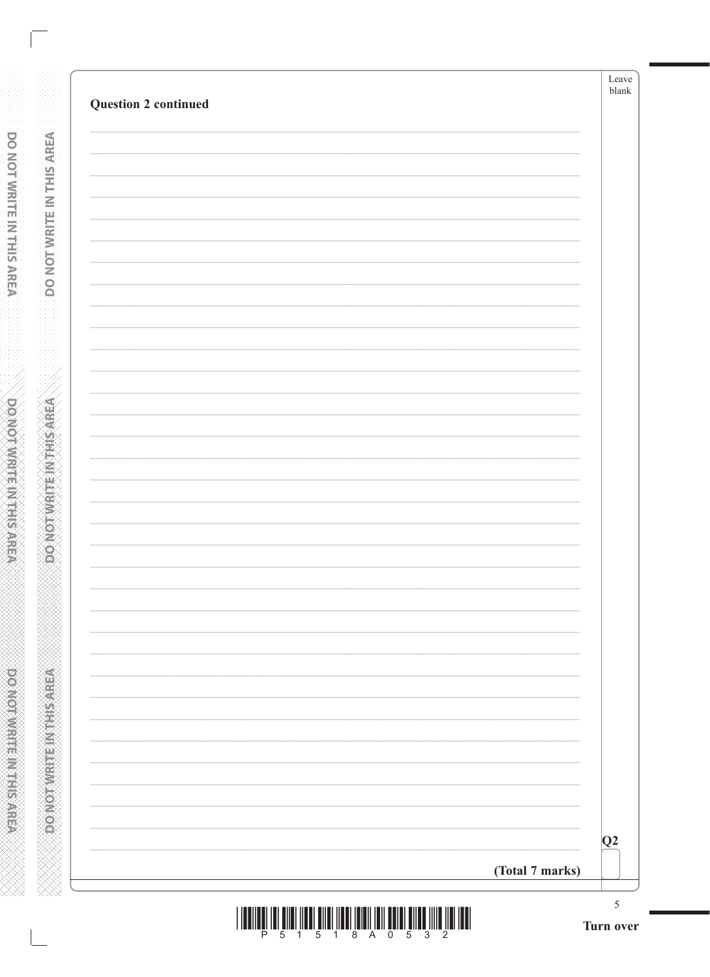| Question 2 continued | Leave<br>$b$ lank     |
|----------------------|-----------------------|
|                      |                       |
|                      |                       |
|                      |                       |
|                      |                       |
|                      |                       |
|                      |                       |
|                      |                       |
|                      |                       |
|                      |                       |
|                      |                       |
|                      |                       |
|                      |                       |
|                      |                       |
|                      |                       |
|                      |                       |
|                      | Q2<br>(Total 7 marks) |

**DONOTWATE INTHIS AREA** 

**Expression write: Including Arish**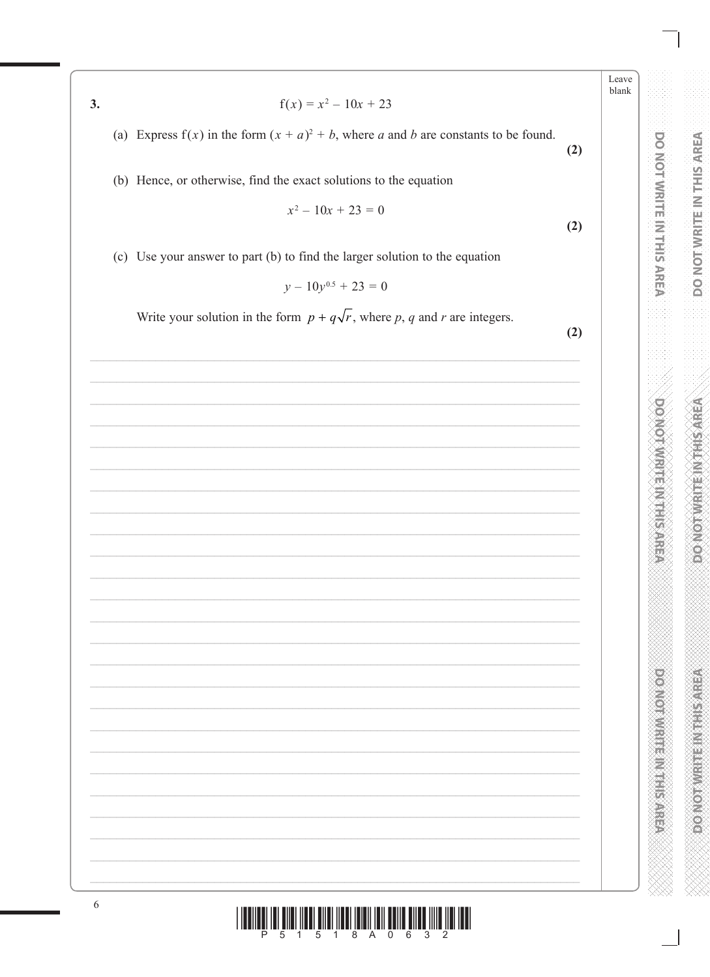$3.$ 

- $f(x) = x^2 10x + 23$
- (a) Express  $f(x)$  in the form  $(x + a)^2 + b$ , where a and b are constants to be found.
- (b) Hence, or otherwise, find the exact solutions to the equation

$$
x^2 - 10x + 23 = 0
$$

(c) Use your answer to part (b) to find the larger solution to the equation

$$
y - 10y^{0.5} + 23 = 0
$$

Write your solution in the form  $p + q\sqrt{r}$ , where p, q and r are integers.

 $(2)$ 

 $(2)$ 

 $(2)$ 



Leave blank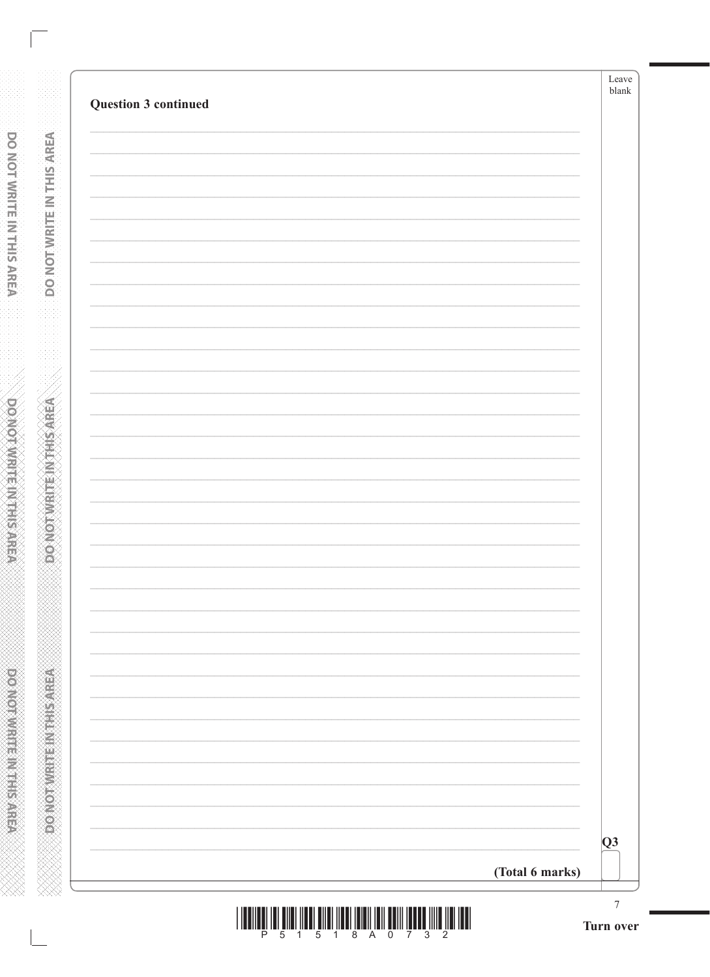**DO NOT WRITE IN THIS AREA** 

**PORTAGE IN THE AREA** 

|  |  |  | P 5 1 5 1 8 A 0 7 3 2 |  |  |  |
|--|--|--|-----------------------|--|--|--|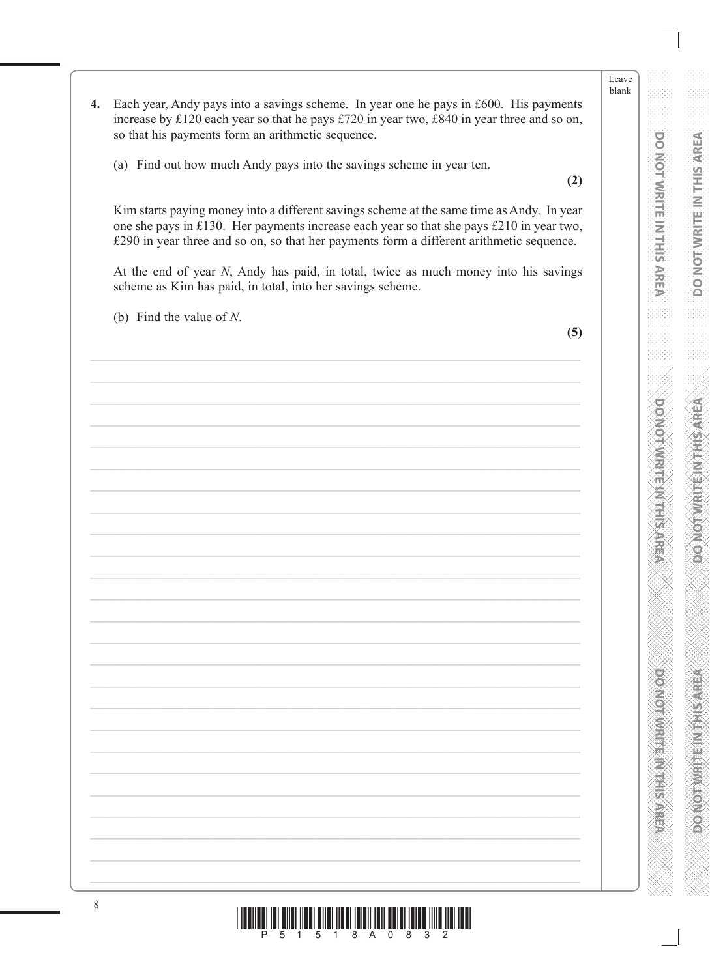- $\overline{4}$ . Each year, Andy pays into a savings scheme. In year one he pays in £600. His payments increase by £120 each year so that he pays £720 in year two, £840 in year three and so on, so that his payments form an arithmetic sequence.
	- (a) Find out how much Andy pays into the savings scheme in year ten.

 $(2)$ 

Kim starts paying money into a different savings scheme at the same time as Andy. In year one she pays in £130. Her payments increase each year so that she pays £210 in year two, £290 in year three and so on, so that her payments form a different arithmetic sequence.

At the end of year N, Andy has paid, in total, twice as much money into his savings scheme as Kim has paid, in total, into her savings scheme.

(b) Find the value of  $N$ .

 $(5)$ 

Leave

**DO NOT WRITE IN THIS AREA** 

**DO NOT WRITE IN THIS AREA** 

**PERIODIC INTERNATIONAL PROPERTY**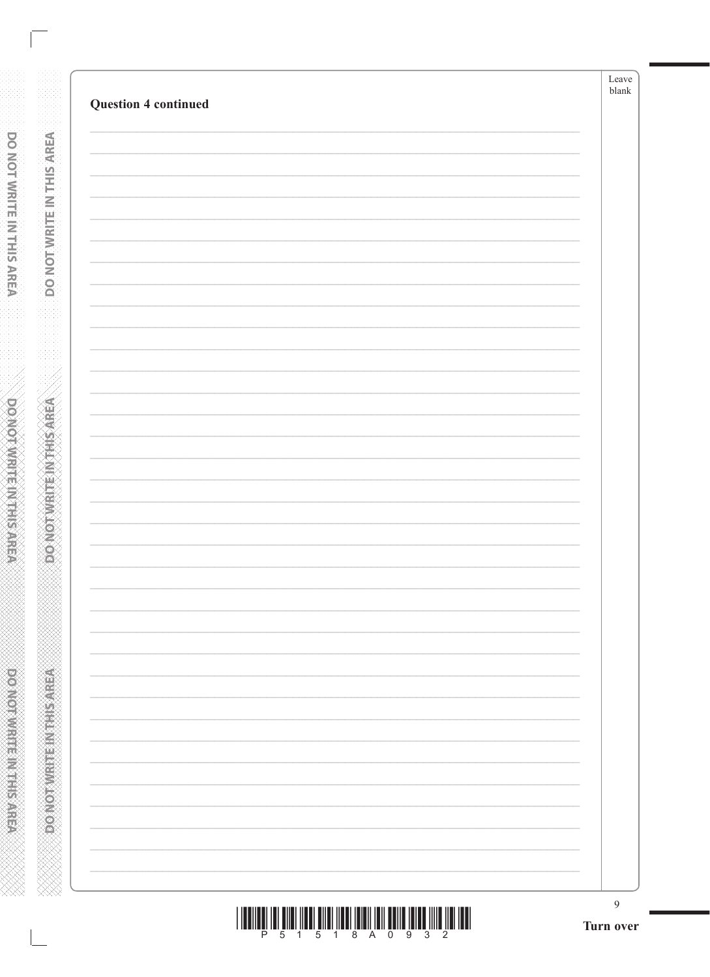|                             |                          | Leave<br>${\tt blank}$ |
|-----------------------------|--------------------------|------------------------|
| <b>Question 4 continued</b> |                          |                        |
|                             |                          |                        |
|                             |                          |                        |
|                             |                          |                        |
|                             |                          |                        |
|                             |                          |                        |
|                             |                          |                        |
|                             |                          |                        |
|                             |                          |                        |
|                             |                          |                        |
|                             |                          |                        |
|                             |                          |                        |
|                             |                          |                        |
|                             |                          |                        |
|                             |                          |                        |
|                             |                          |                        |
|                             |                          |                        |
|                             |                          |                        |
|                             |                          |                        |
|                             |                          |                        |
|                             |                          |                        |
|                             |                          |                        |
|                             |                          |                        |
|                             |                          |                        |
|                             |                          |                        |
|                             |                          |                        |
|                             |                          |                        |
|                             |                          |                        |
|                             |                          |                        |
|                             | $\overline{\phantom{0}}$ |                        |
|                             |                          |                        |
|                             |                          | 9                      |

**DONOTWATE INTHIS AREA** 

**ASSESSMENT PRODUCT** 

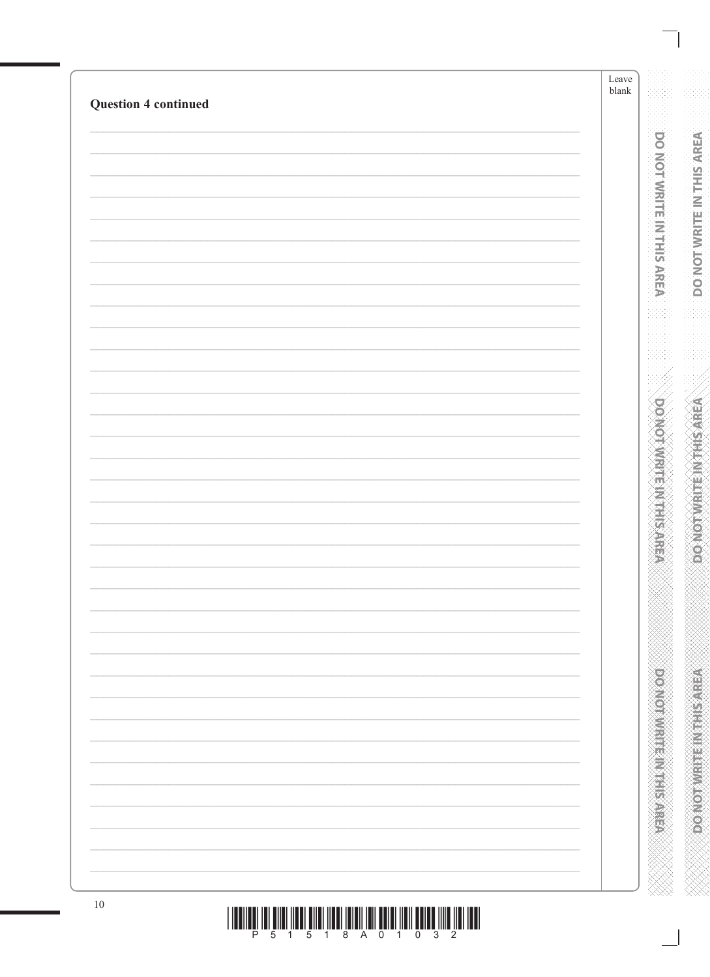| <b>Question 4 continued</b> | ${\tt blank}$ |
|-----------------------------|---------------|
|                             |               |
|                             |               |
|                             |               |
|                             |               |
|                             |               |
|                             |               |
|                             |               |
|                             |               |
|                             |               |
|                             |               |
|                             |               |
|                             |               |
|                             |               |
|                             |               |
|                             |               |
|                             |               |
|                             |               |
|                             |               |
|                             |               |
|                             |               |
|                             |               |
|                             |               |
|                             |               |
|                             |               |
|                             |               |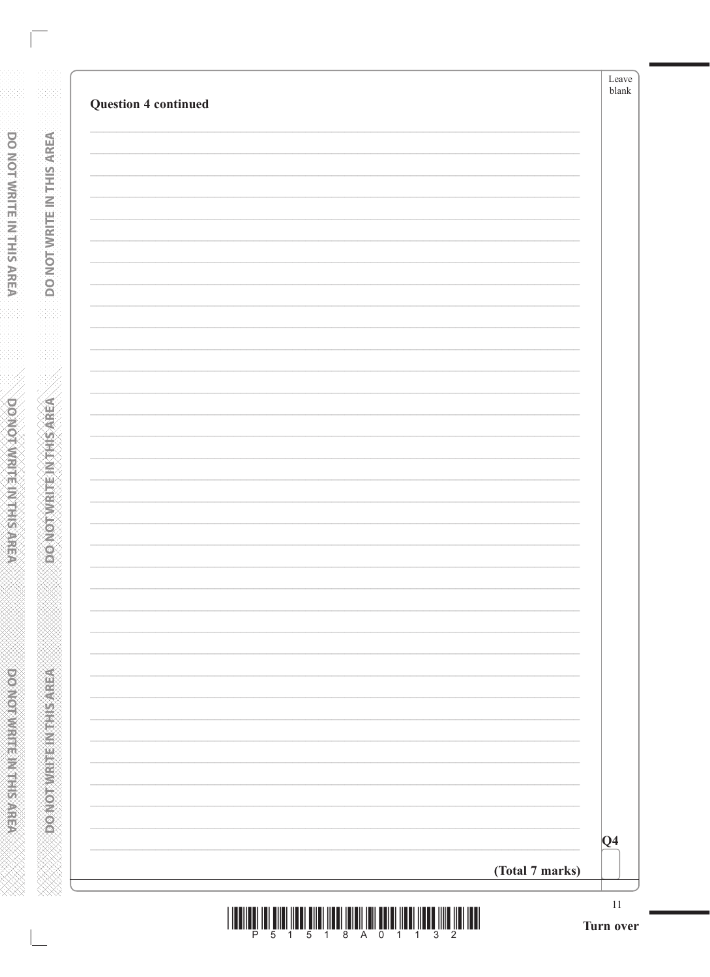| <b>Question 4 continued</b> |                 |
|-----------------------------|-----------------|
|                             |                 |
|                             |                 |
|                             |                 |
|                             |                 |
|                             |                 |
|                             |                 |
|                             |                 |
|                             |                 |
|                             |                 |
|                             |                 |
|                             |                 |
|                             |                 |
|                             |                 |
|                             |                 |
|                             |                 |
|                             |                 |
|                             |                 |
|                             |                 |
|                             |                 |
|                             |                 |
|                             | $ Q_4 $         |
|                             | (Total 7 marks) |

**DONOTWRITEINTHIS AREA** 

**DONOTWRITEIN THIS AFEA** www.www.www.www.www.www.www.ww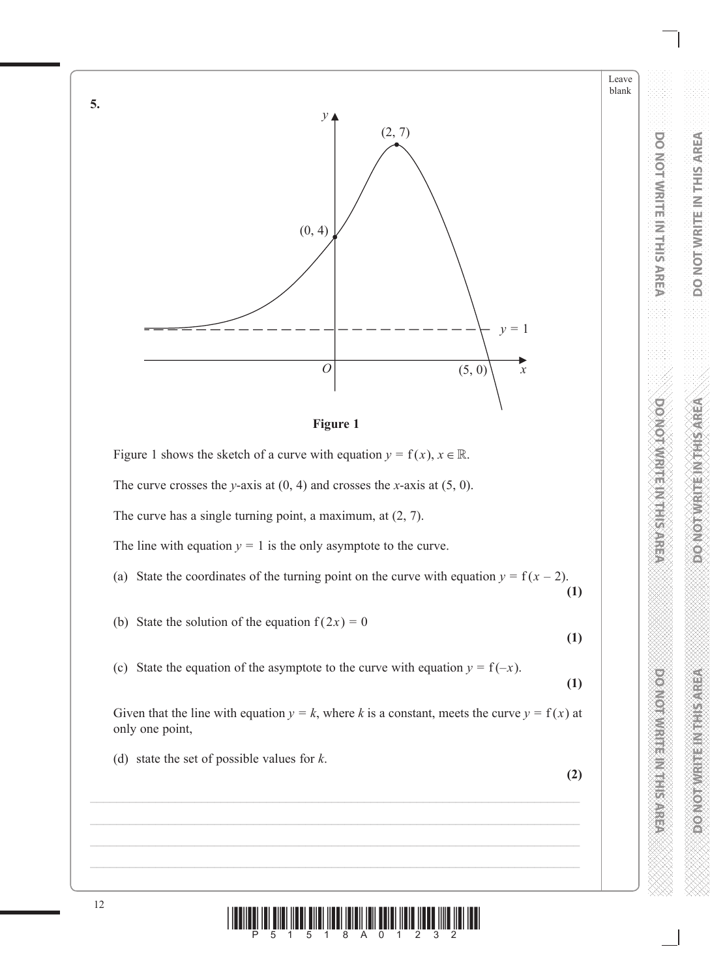



Figure 1 shows the sketch of a curve with equation  $y = f(x)$ ,  $x \in \mathbb{R}$ .

The curve crosses the *y*–axis at  $(0, 4)$  and crosses the *x*–axis at  $(5, 0)$ .

The curve has a single turning point, a maximum, at (2, 7).

The line with equation  $y = 1$  is the only asymptote to the curve.

(a) State the coordinates of the turning point on the curve with equation  $y = f(x - 2)$ . **(1)**

(b) State the solution of the equation  $f(2x) = 0$ 

**(1)**

Leave blank

**DO NOT WRITE IN THIS AREA**

**DO NOT WRITE IN THIS AREA** 

**DO NOTE:** 

**DOMOTWRITEM THIS AREA** 

**DO NOT WRITE IN THIS AREA**

**DOMOGRAPHIC REPORTS** 

(c) State the equation of the asymptote to the curve with equation  $y = f(-x)$ .

**(1)**

Given that the line with equation  $y = k$ , where k is a constant, meets the curve  $y = f(x)$  at only one point,

(d) state the set of possible values for *k*.

**(2)**



**5.**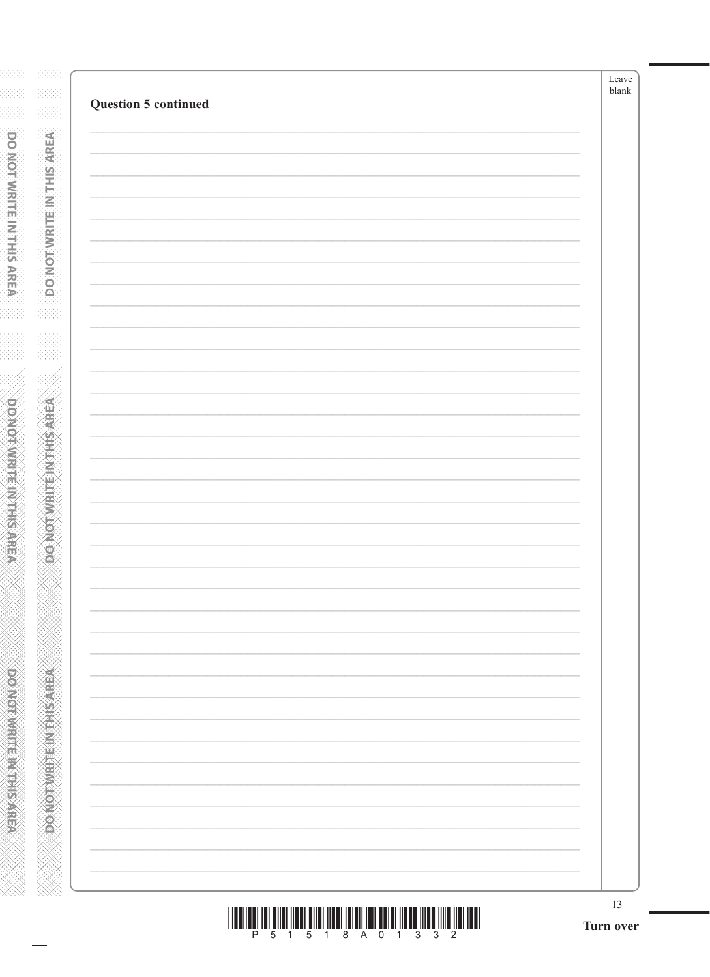**DONOTWRITE INTHIS AREA** 

*RESISTED AND DRUGS CREATING*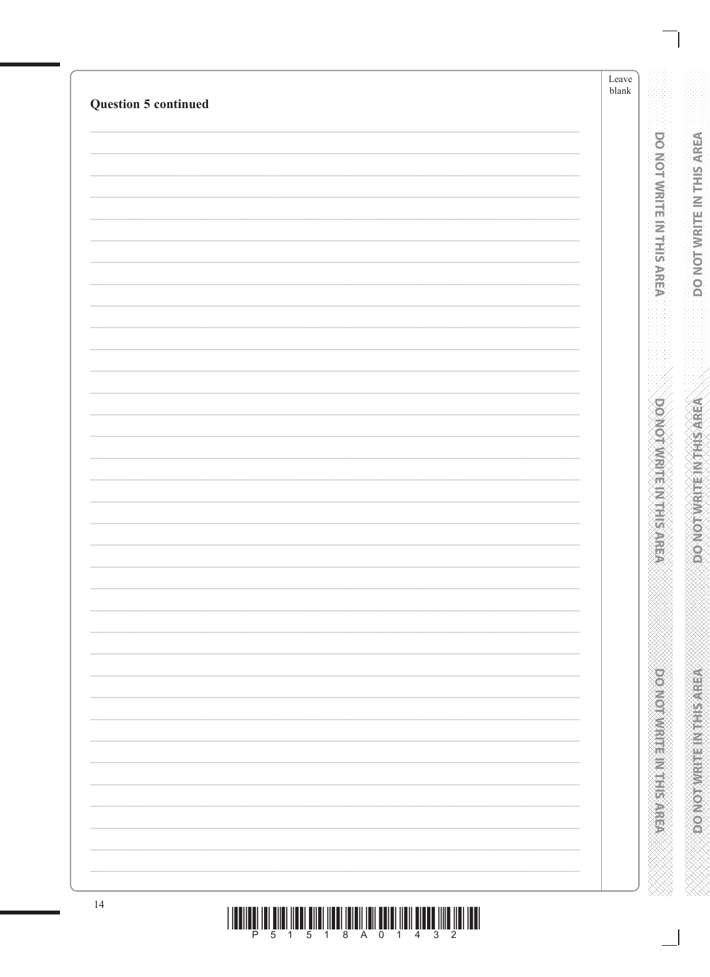|                             | Leave<br>$\ensuremath{\textrm{blank}}$ |
|-----------------------------|----------------------------------------|
| <b>Question 5 continued</b> |                                        |
|                             |                                        |
|                             |                                        |
|                             |                                        |
|                             |                                        |
|                             |                                        |
|                             |                                        |
|                             |                                        |
|                             |                                        |
|                             |                                        |
|                             |                                        |
|                             |                                        |
|                             |                                        |
|                             |                                        |
|                             |                                        |
|                             |                                        |
|                             |                                        |
|                             |                                        |
|                             |                                        |
|                             |                                        |
|                             |                                        |
|                             |                                        |
|                             |                                        |
|                             |                                        |
|                             |                                        |
|                             |                                        |
|                             |                                        |
|                             |                                        |
|                             |                                        |
|                             |                                        |
|                             |                                        |
|                             |                                        |
|                             |                                        |
|                             |                                        |
|                             |                                        |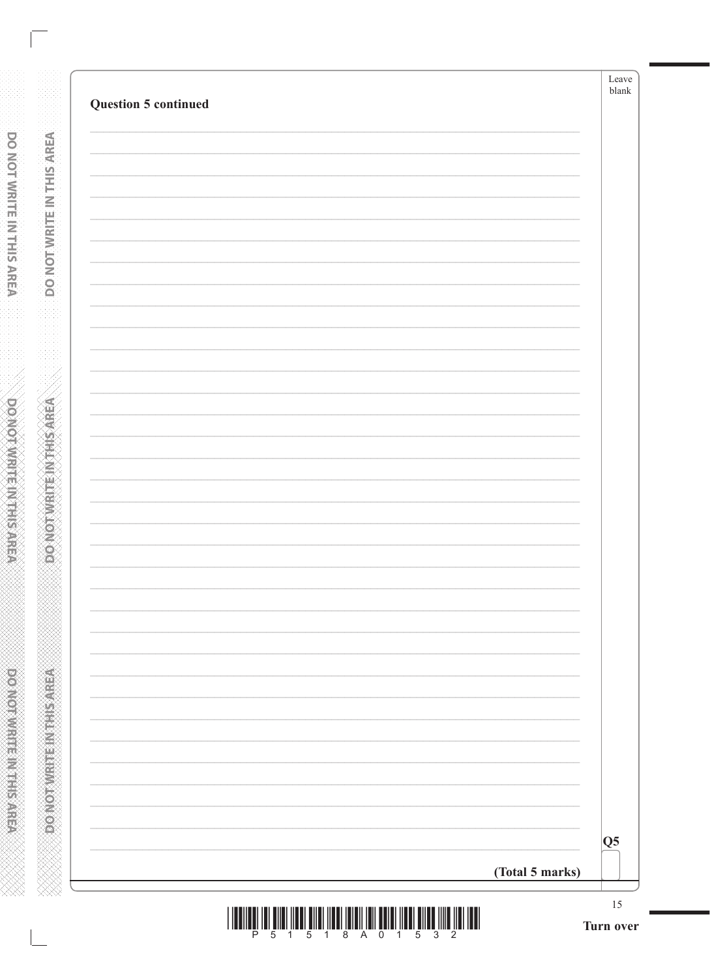| $\overline{\text{Q5}}$ |
|------------------------|
| (Total 5 marks)        |

**DONOTWRITEINTHIS AREA** 

**A SERVER THE INTERNATION** www.www.www.www.www.www.www.www.ww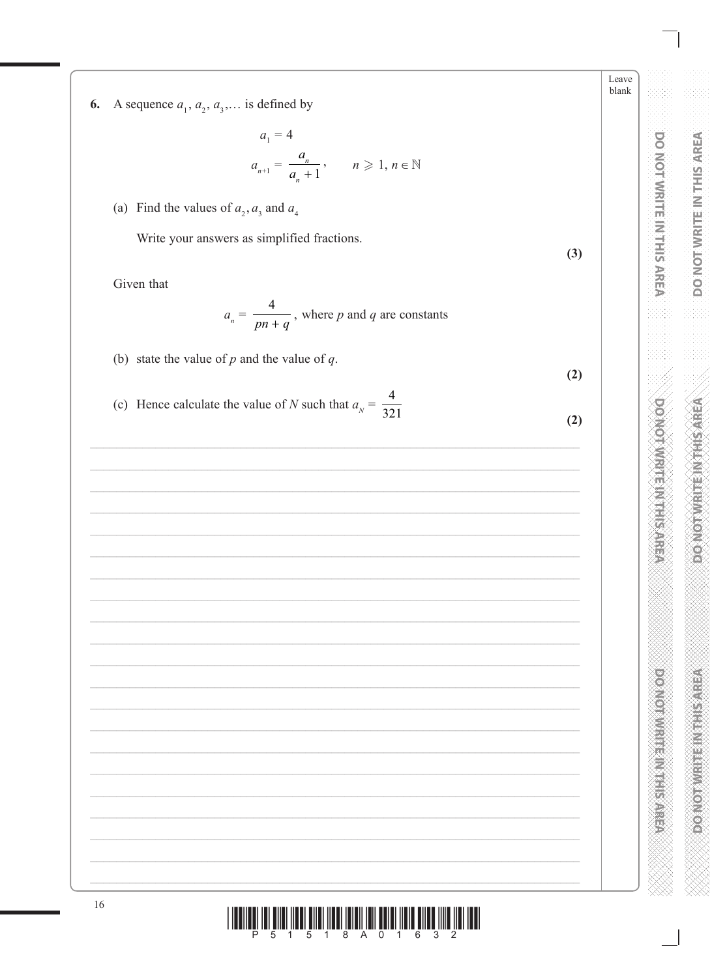A sequence  $a_1, a_2, a_3, \dots$  is defined by 6.

$$
a_1 = 4
$$
  

$$
a_{n+1} = \frac{a_n}{a_n + 1}, \qquad n \ge 1, n \in \mathbb{N}
$$

(a) Find the values of  $a_2$ ,  $a_3$  and  $a_4$ 

Write your answers as simplified fractions.

Given that

$$
a_n = \frac{4}{pn+q}
$$
, where *p* and *q* are constants

(b) state the value of  $p$  and the value of  $q$ .

 $(2)$ 

 $(3)$ 

(c) Hence calculate the value of N such that  $a_N = \frac{4}{321}$  $(2)$ 

Leave blank

|  |  | P 5 1 5 1 8 A 0 1 6 3 2 |  |  |  |  |  |
|--|--|-------------------------|--|--|--|--|--|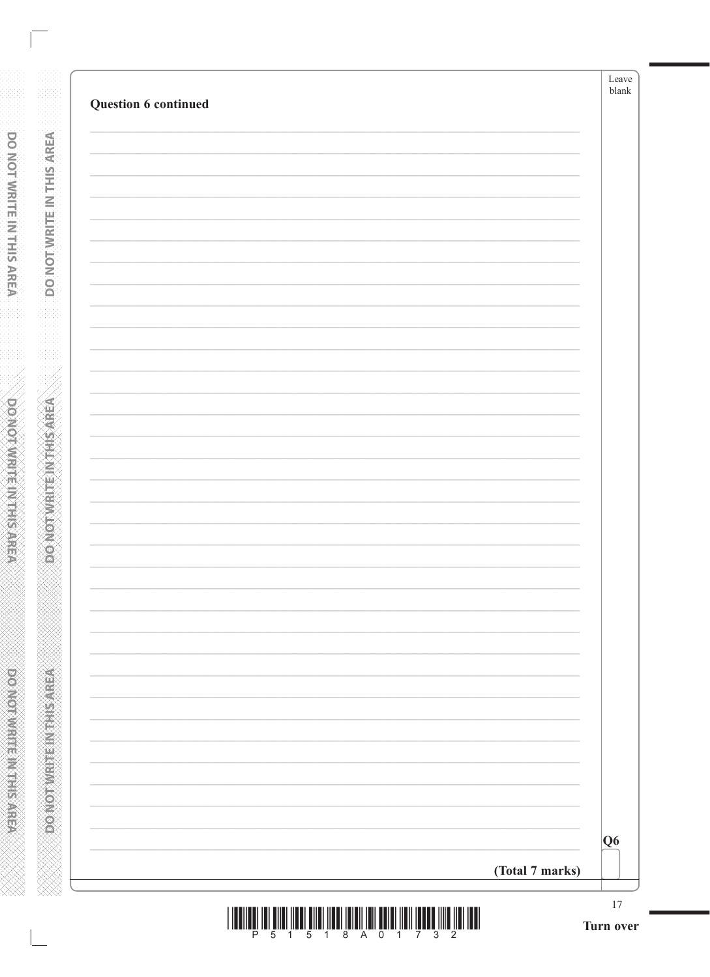| Question 6 continued |                 | ${\tt blank}$ |
|----------------------|-----------------|---------------|
|                      |                 |               |
|                      |                 |               |
|                      |                 |               |
|                      |                 |               |
|                      |                 |               |
|                      |                 |               |
|                      |                 |               |
|                      |                 |               |
|                      |                 |               |
|                      |                 |               |
|                      |                 |               |
|                      |                 |               |
|                      |                 |               |
|                      |                 |               |
|                      |                 |               |
|                      |                 |               |
|                      |                 |               |
|                      |                 |               |
|                      |                 |               |
|                      |                 |               |
|                      |                 |               |
|                      |                 |               |
|                      |                 |               |
|                      |                 |               |
|                      |                 |               |
|                      |                 |               |
|                      |                 |               |
|                      |                 |               |
|                      |                 |               |
|                      |                 |               |
|                      |                 |               |
|                      |                 |               |
|                      |                 |               |
|                      |                 |               |
|                      |                 | Q6            |
|                      | (Total 7 marks) |               |

**DONOTWRITE IN THIS AREA** 

**DONOTWRITE INTHISAREA** www.www.www.www.www.www.www.www.ww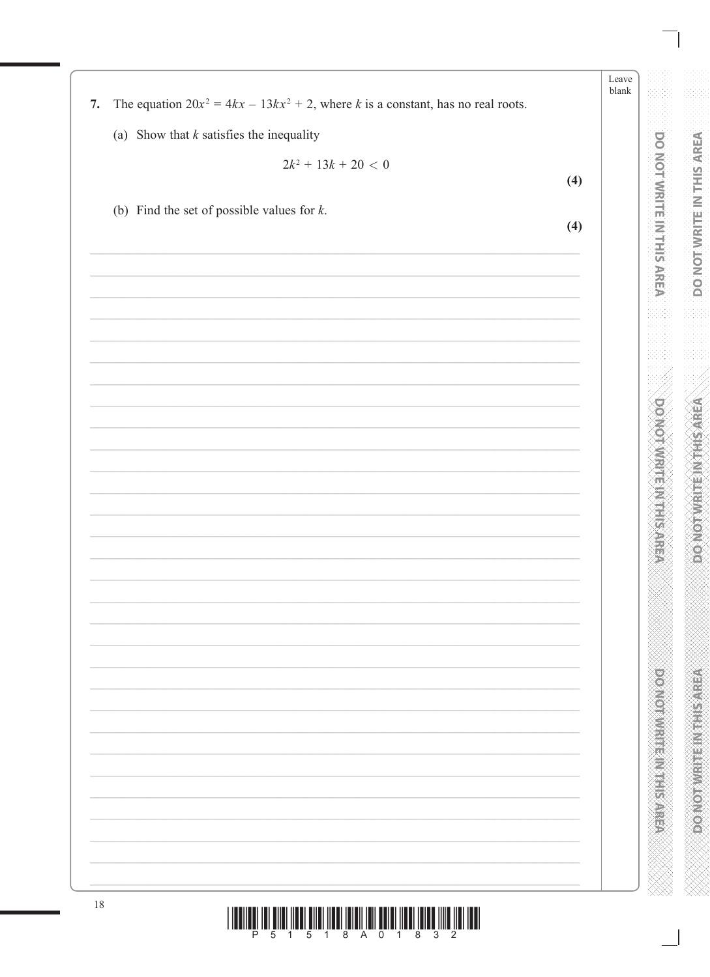**DOO NOT WE HAVE SERVED AT A REAL PROPERTY**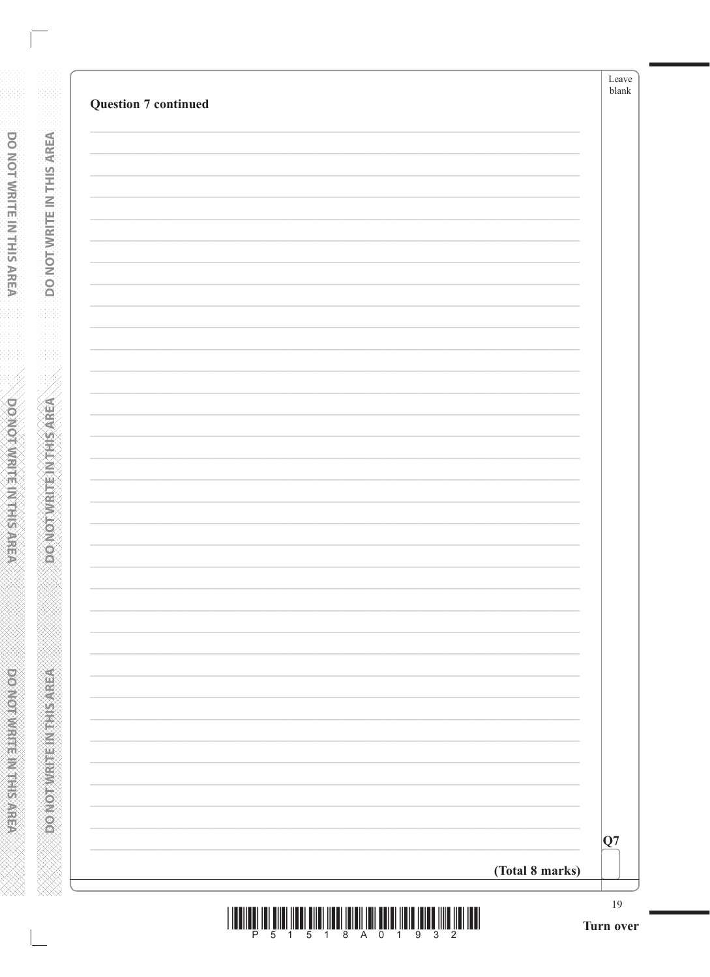| Q7              | <b>Question 7 continued</b> |  |
|-----------------|-----------------------------|--|
|                 |                             |  |
|                 |                             |  |
|                 |                             |  |
|                 |                             |  |
|                 |                             |  |
|                 |                             |  |
|                 |                             |  |
|                 |                             |  |
|                 |                             |  |
|                 |                             |  |
|                 |                             |  |
|                 |                             |  |
|                 |                             |  |
|                 |                             |  |
|                 |                             |  |
|                 |                             |  |
|                 |                             |  |
|                 |                             |  |
|                 |                             |  |
|                 |                             |  |
|                 |                             |  |
|                 |                             |  |
|                 |                             |  |
|                 |                             |  |
|                 |                             |  |
|                 |                             |  |
| (Total 8 marks) |                             |  |

**DONOTWRITE IN THIS AREA** 

**DONOTWRITE INTHISAREA** www.www.www.www.www.www.www.www.ww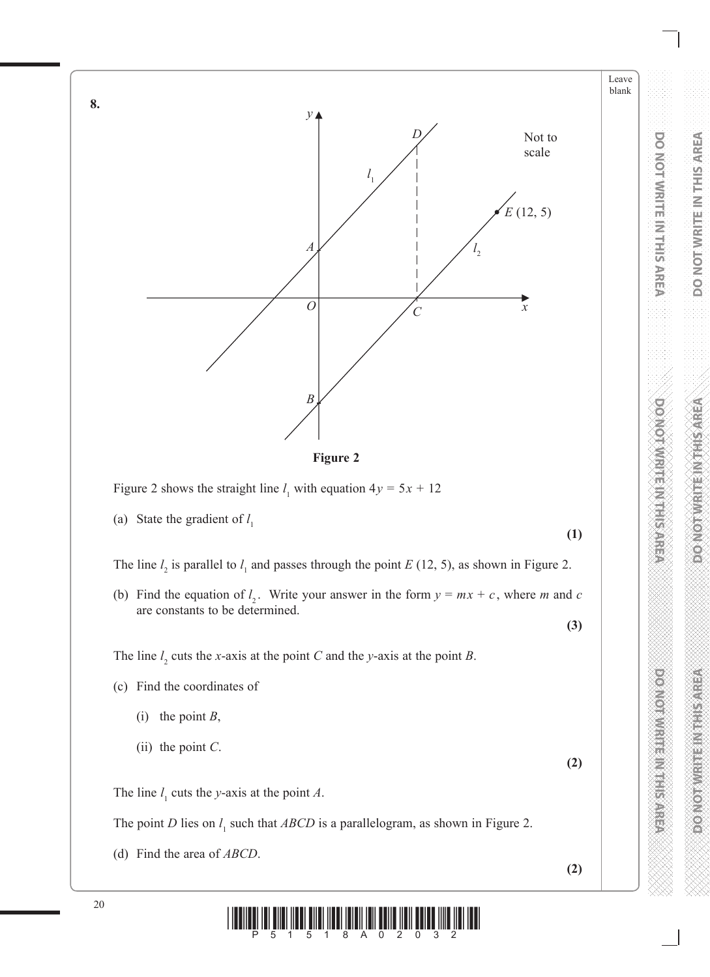

**Figure 2**

Figure 2 shows the straight line  $l_1$  with equation  $4y = 5x + 12$ 

(a) State the gradient of *l* 1

The line  $l_2$  is parallel to  $l_1$  and passes through the point *E* (12, 5), as shown in Figure 2.

(b) Find the equation of  $l_2$ . Write your answer in the form  $y = mx + c$ , where *m* and *c* are constants to be determined.

The line  $l_2$  cuts the *x*-axis at the point *C* and the *y*-axis at the point *B*.

- (c) Find the coordinates of
	- (i) the point *B*,
	- (ii) the point *C*.

The line  $l_1$  cuts the *y*-axis at the point *A*.

The point *D* lies on  $l_1$  such that *ABCD* is a parallelogram, as shown in Figure 2.

(d) Find the area of *ABCD*.

**(2)**

**(2)**

**(1)**

**(3)**

Leave blank

**DO NOT WRITE IN THIS AREA**

**DO NOT WRITE IN THIS AREA** 

**DO NOTE:** 

**DO NOT WRITE IN THIS AREA** 

**DO NOT WRITE IN THIS AREA**

**POWER IN THE REAL PROPERTY** 



**8.**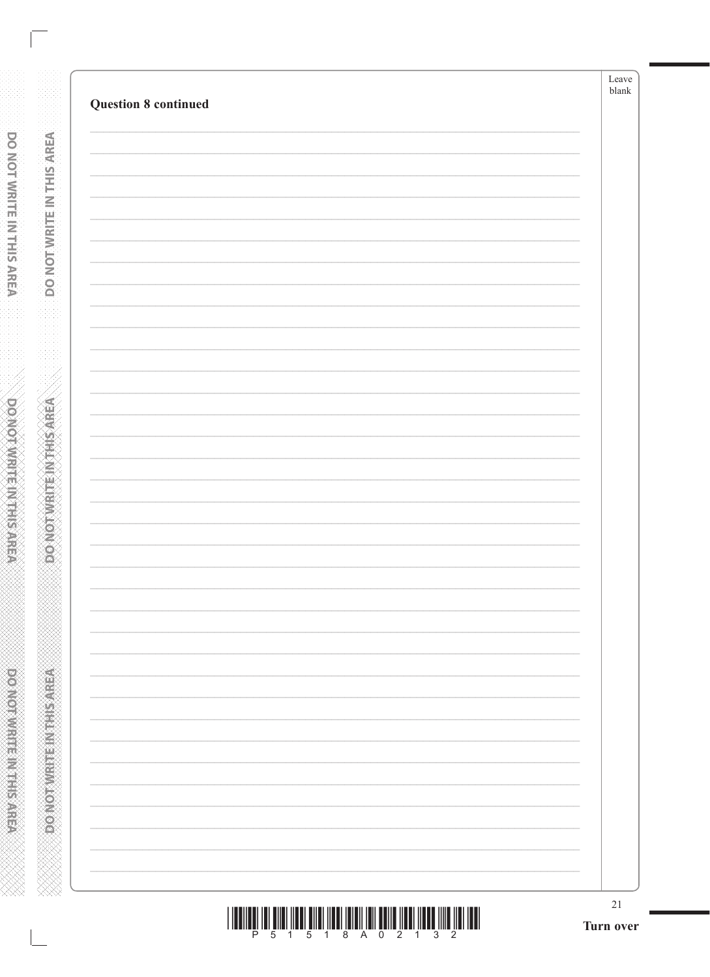**DONOTWRITENYTHISAREA** 

**RENEWALK STRANGER**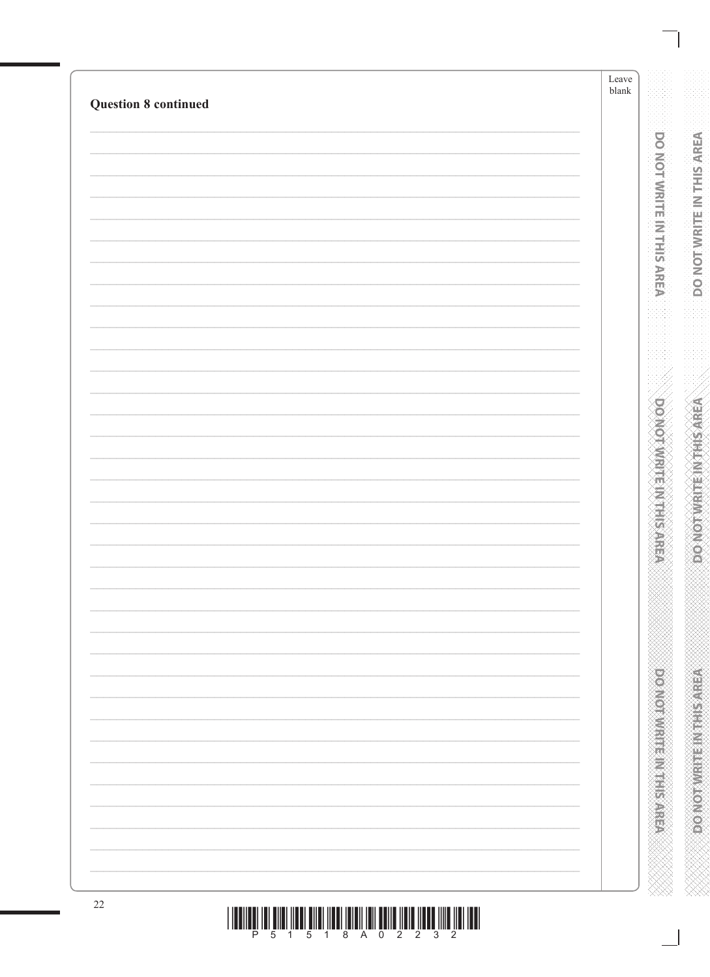| <b>Question 8 continued</b> |  |
|-----------------------------|--|
|                             |  |
|                             |  |
|                             |  |
|                             |  |
|                             |  |
|                             |  |
|                             |  |
|                             |  |
|                             |  |
|                             |  |
|                             |  |
|                             |  |
|                             |  |
|                             |  |
|                             |  |
|                             |  |
|                             |  |
|                             |  |
|                             |  |
|                             |  |
|                             |  |
|                             |  |
|                             |  |
|                             |  |
|                             |  |
|                             |  |
|                             |  |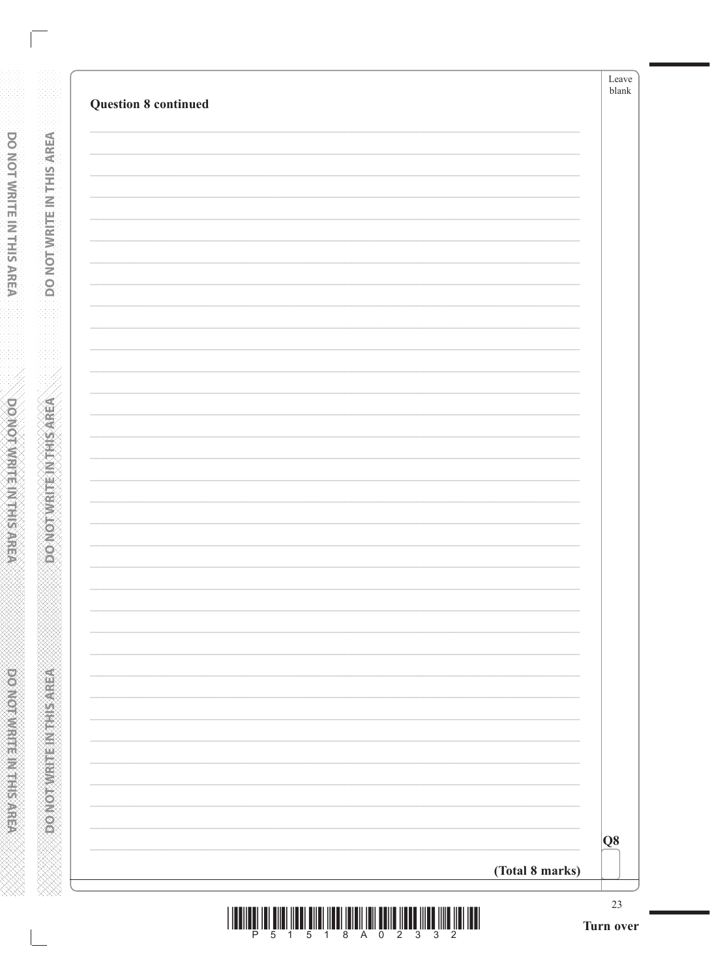| <b>Question 8 continued</b> |                 | Leave<br>blank  |
|-----------------------------|-----------------|-----------------|
|                             |                 |                 |
|                             |                 |                 |
|                             |                 |                 |
|                             |                 |                 |
|                             |                 |                 |
|                             |                 |                 |
|                             |                 |                 |
|                             |                 |                 |
|                             |                 |                 |
|                             |                 |                 |
|                             |                 |                 |
|                             |                 |                 |
|                             |                 |                 |
|                             |                 |                 |
|                             |                 |                 |
|                             |                 |                 |
|                             |                 |                 |
|                             |                 | Q8              |
|                             | (Total 8 marks) |                 |
|                             |                 | 23<br>Turn over |

**DONOTWRITE IN THIS AREA** 

**DO NOT WRITE IN THIS AREA** www.www.www.www.www.www.www.ww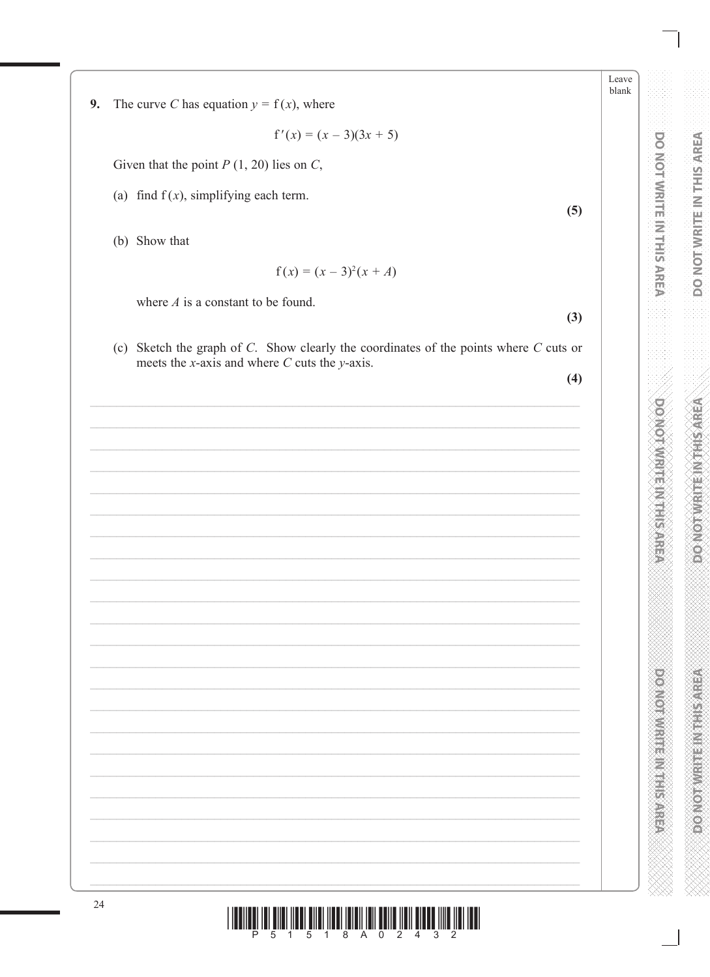Leave blank

**DO NOT WRITE IN THIS AREA** 

**DOMESTIC PROPERTY** 

l Ionin di Ini amerikan dina ikan inan iami ini dan dina ing ing ing Inggr

#### 9. The curve C has equation  $y = f(x)$ , where

 $f'(x) = (x - 3)(3x + 5)$ 

Given that the point  $P(1, 20)$  lies on C,

(a) find  $f(x)$ , simplifying each term.

(b) Show that

 $f(x) = (x - 3)^2(x + A)$ 

where  $A$  is a constant to be found.

(c) Sketch the graph of  $C$ . Show clearly the coordinates of the points where  $C$  cuts or meets the *x*-axis and where  $C$  cuts the *y*-axis.

 $(4)$ 

 $(3)$ 

 $(5)$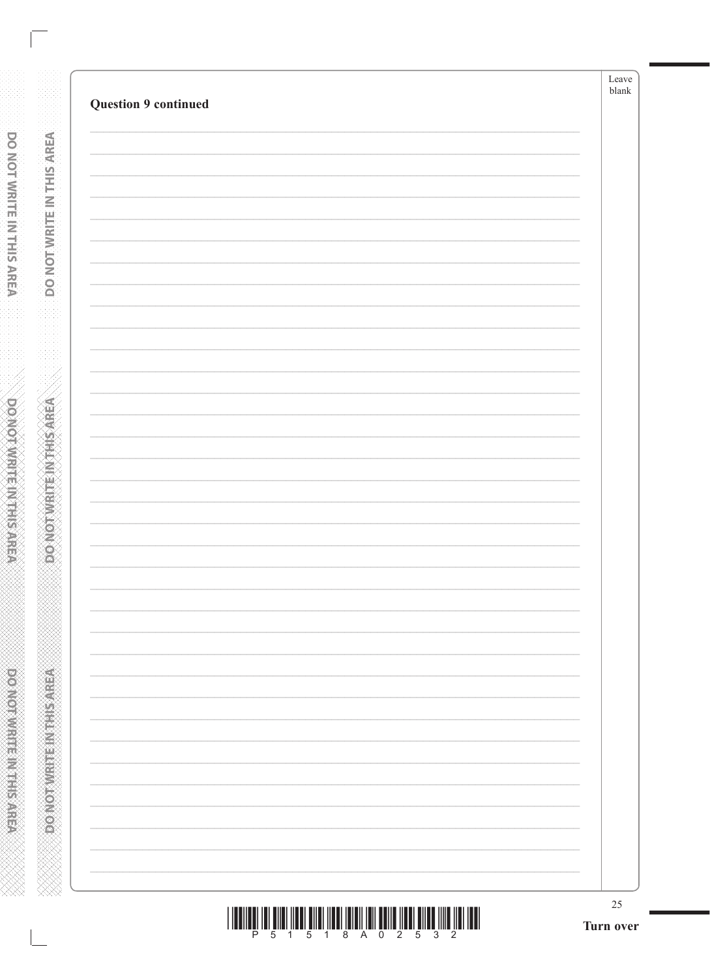|                             | $25\,$<br>Turn over |
|-----------------------------|---------------------|
|                             |                     |
|                             |                     |
|                             |                     |
|                             |                     |
|                             |                     |
|                             |                     |
|                             |                     |
|                             |                     |
|                             |                     |
|                             |                     |
|                             |                     |
|                             |                     |
|                             |                     |
|                             |                     |
|                             |                     |
|                             |                     |
|                             |                     |
|                             |                     |
|                             |                     |
|                             |                     |
|                             |                     |
|                             |                     |
| <b>Question 9 continued</b> |                     |

**DONOTWRITENKHISAREA** 

**RENEWALK STRANGER** 

| <u> I III DI LA LITTA ILI ILI DI LA LITTA ILI DI LA LITTA ILI DI LA LITTA ILI DI LITTA ILI DI LITTA ILI DI LITT</u> |  |  |  |  |  |  |
|---------------------------------------------------------------------------------------------------------------------|--|--|--|--|--|--|
|                                                                                                                     |  |  |  |  |  |  |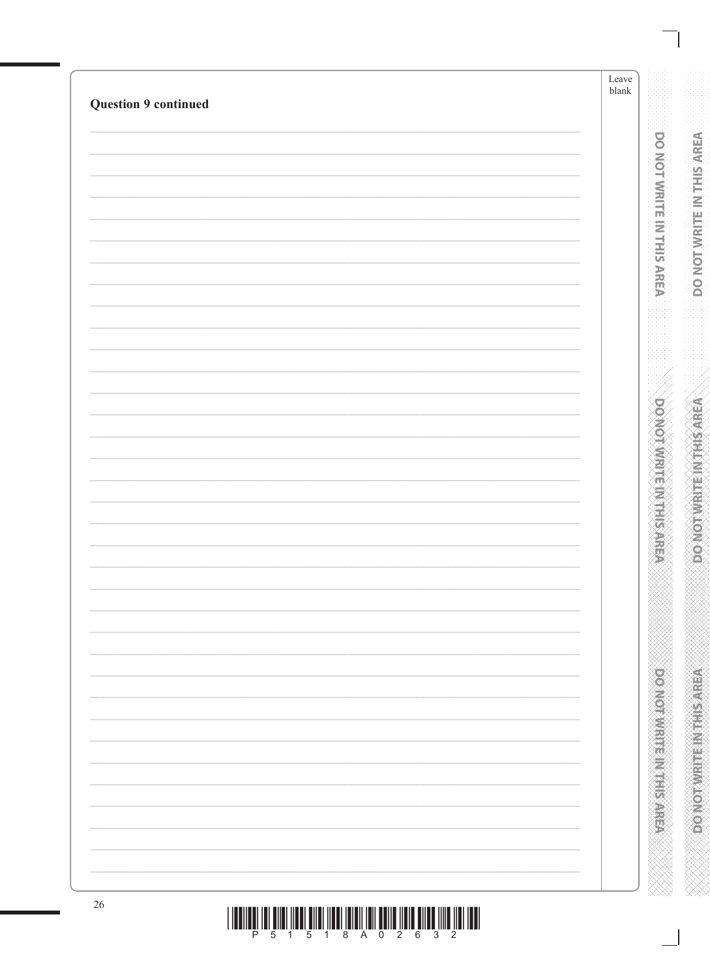| <b>Question 9 continued</b> | Leave<br>${\it blank}$ |
|-----------------------------|------------------------|
|                             |                        |
|                             |                        |
|                             |                        |
|                             |                        |
|                             |                        |
|                             |                        |
|                             |                        |
|                             |                        |
|                             |                        |
|                             |                        |
|                             |                        |
|                             |                        |
|                             |                        |
|                             |                        |
|                             |                        |
|                             |                        |
|                             |                        |
|                             |                        |
|                             |                        |
|                             |                        |
|                             |                        |
|                             |                        |
|                             |                        |
|                             |                        |
|                             |                        |
|                             |                        |
|                             |                        |
|                             |                        |
|                             |                        |
|                             |                        |
|                             |                        |
|                             |                        |
|                             |                        |
|                             |                        |
|                             |                        |
|                             |                        |
|                             |                        |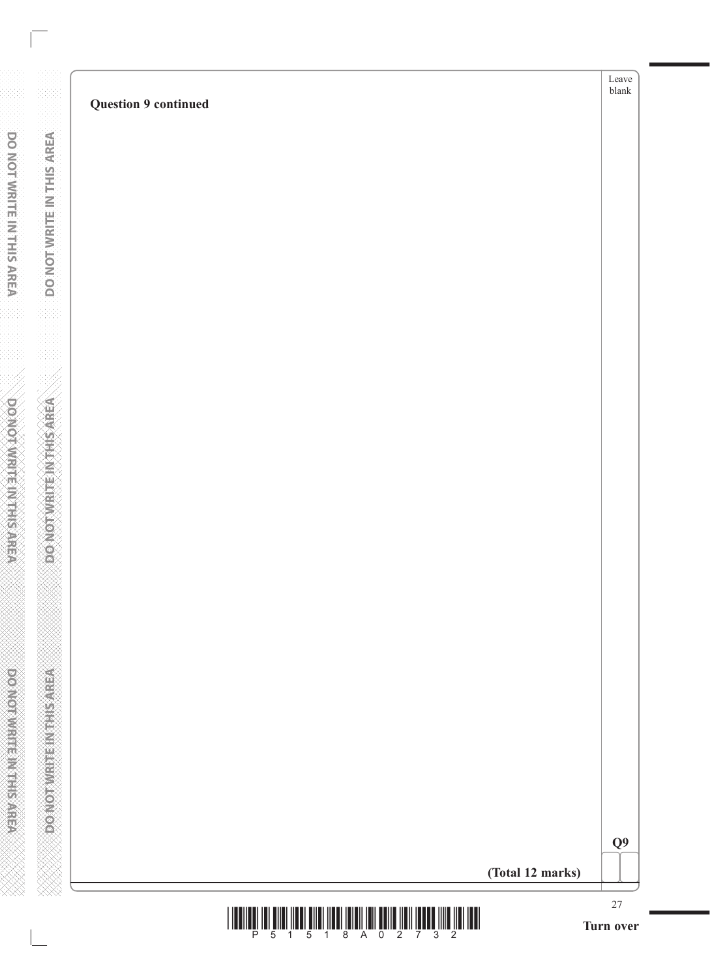|                           |                             | ${\rm Leave}$<br>${\sf blank}$ |
|---------------------------|-----------------------------|--------------------------------|
|                           | <b>Question 9 continued</b> |                                |
|                           |                             |                                |
|                           |                             |                                |
|                           |                             |                                |
|                           |                             |                                |
|                           |                             |                                |
|                           |                             |                                |
|                           |                             |                                |
| DO NOT WRITE IN THIS AREA |                             |                                |
|                           |                             |                                |
|                           |                             |                                |
|                           |                             |                                |
|                           |                             |                                |
|                           |                             |                                |
|                           |                             |                                |
|                           |                             |                                |
|                           |                             |                                |
|                           |                             |                                |
|                           |                             |                                |
|                           |                             |                                |
|                           |                             |                                |
|                           |                             |                                |
|                           |                             |                                |
|                           |                             |                                |
|                           |                             |                                |
|                           |                             |                                |
|                           |                             |                                |
|                           |                             |                                |
|                           |                             |                                |
| DO NOT WRITE INTHIS AREA  |                             |                                |
|                           |                             |                                |
|                           |                             | Q <sub>9</sub>                 |
|                           | (Total 12 marks)            |                                |
|                           |                             |                                |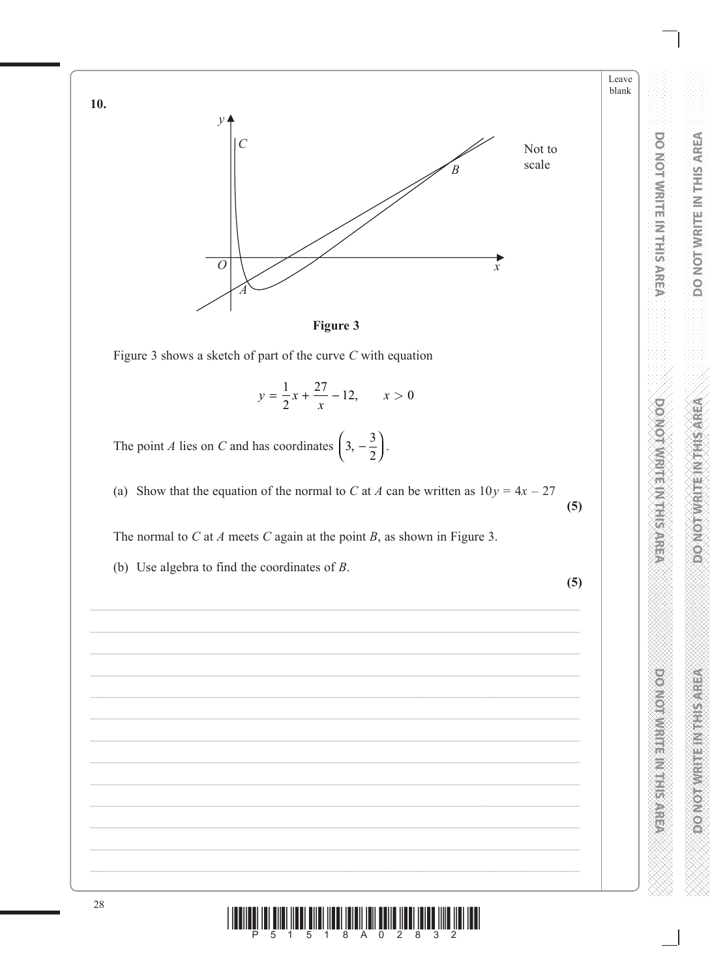



Figure 3 shows a sketch of part of the curve  $C$  with equation

$$
y = \frac{1}{2}x + \frac{27}{x} - 12, \qquad x > 0
$$

The point *A* lies on *C* and has coordinates  $\left(3, -\frac{3}{2}\right)$ .

(a) Show that the equation of the normal to C at A can be written as  $10y = 4x - 27$  $(5)$ 

The normal to  $C$  at  $A$  meets  $C$  again at the point  $B$ , as shown in Figure 3.

(b) Use algebra to find the coordinates of  $B$ .



 $(5)$ 

**DO NOT WRITE IN THIS AREA** 

Leave blank

DO NOT WRITE IN THIS AREA

**DOMOGRAPHIC REPORTS** 

 $\frac{1}{4}$  ,  $\frac{1}{5}$  ,  $\frac{1}{4}$  ,  $\frac{1}{8}$  ,  $\frac{1}{8}$  ,  $\frac{1}{8}$  ,  $\frac{1}{8}$  ,  $\frac{1}{2}$  ,  $\frac{1}{8}$  ,  $\frac{1}{2}$  ,  $\frac{1}{8}$  ,  $\frac{1}{3}$  ,  $\frac{1}{2}$  $5\overline{5}$ 

10.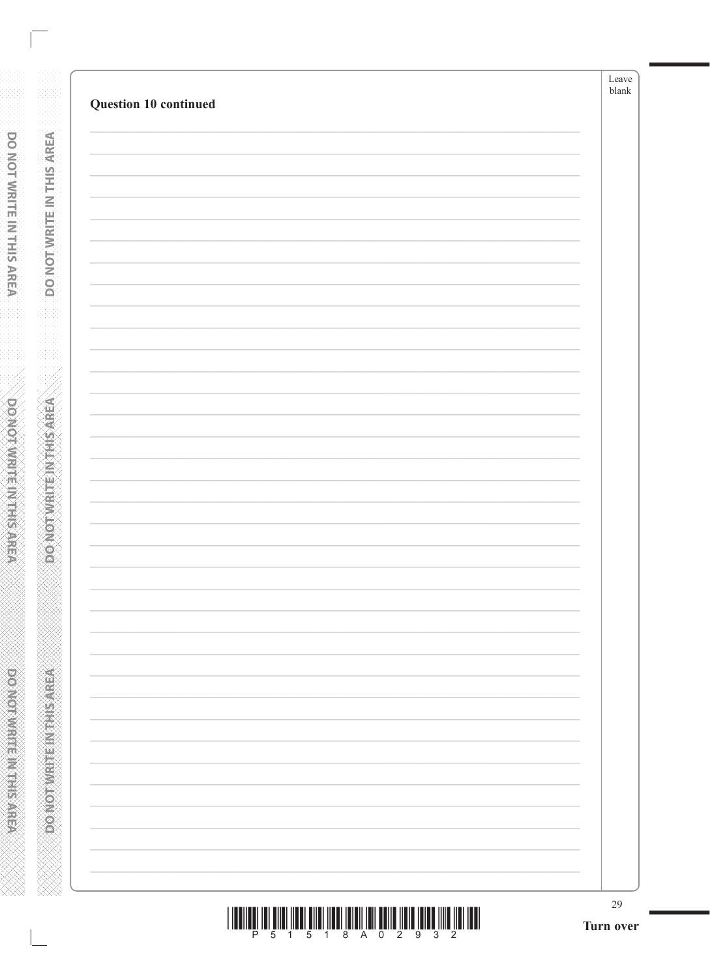|                       | 29<br>Turn over |
|-----------------------|-----------------|
|                       |                 |
|                       |                 |
|                       |                 |
|                       |                 |
|                       |                 |
|                       |                 |
|                       |                 |
|                       |                 |
|                       |                 |
|                       |                 |
|                       |                 |
|                       |                 |
|                       |                 |
|                       |                 |
|                       |                 |
|                       |                 |
|                       |                 |
|                       |                 |
|                       |                 |
|                       |                 |
|                       |                 |
|                       |                 |
|                       |                 |
| Question 10 continued |                 |

**DONOTWRITEIN THIS AREA** 

**ABRASHMAN SHANGAN CONCOR** 

| <u>THE RICH IS AND THE RICH IS A RICH IS A RICH IS A RICH IS A RICH IS A RICH IS A RICH IS A RICH IS A RICH IS A</u> |  |                         |  |  |  |  |
|----------------------------------------------------------------------------------------------------------------------|--|-------------------------|--|--|--|--|
|                                                                                                                      |  | P 5 1 5 1 8 A 0 2 9 3 2 |  |  |  |  |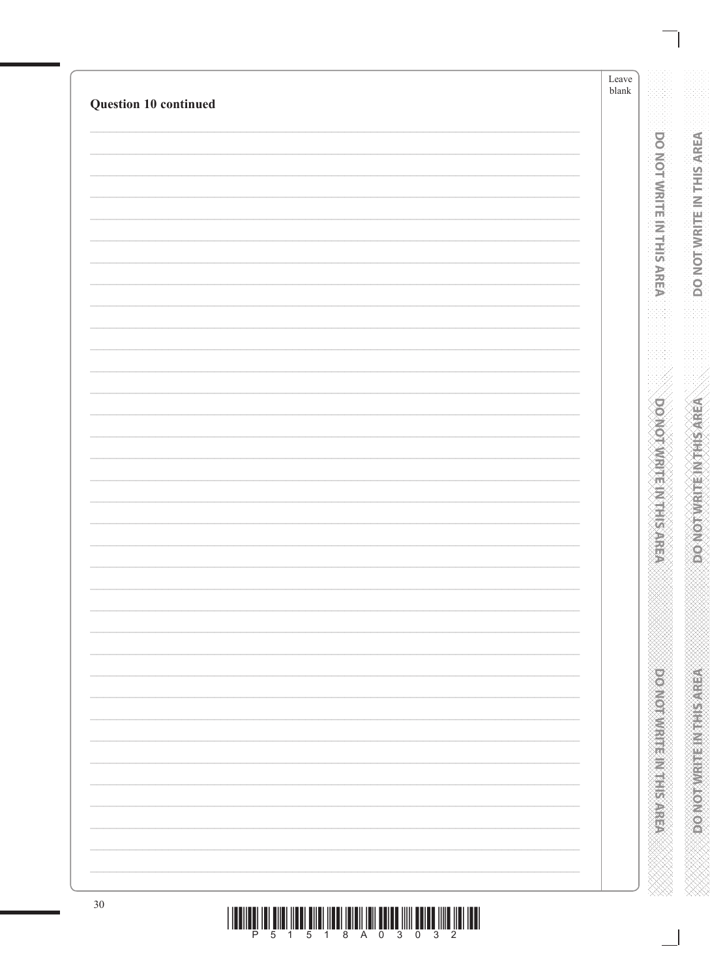|                       | Leave<br>${\it blank}$ |
|-----------------------|------------------------|
| Question 10 continued |                        |
|                       |                        |
|                       |                        |
|                       |                        |
|                       |                        |
|                       |                        |
|                       |                        |
|                       |                        |
|                       |                        |
|                       |                        |
|                       |                        |
|                       |                        |
|                       |                        |
|                       |                        |
|                       |                        |
|                       |                        |
|                       |                        |
|                       |                        |
|                       |                        |
|                       |                        |
|                       |                        |
|                       |                        |
|                       |                        |
|                       |                        |
|                       |                        |
|                       |                        |
|                       |                        |
|                       |                        |
|                       |                        |
|                       |                        |
|                       |                        |
|                       |                        |
|                       |                        |
|                       |                        |
|                       |                        |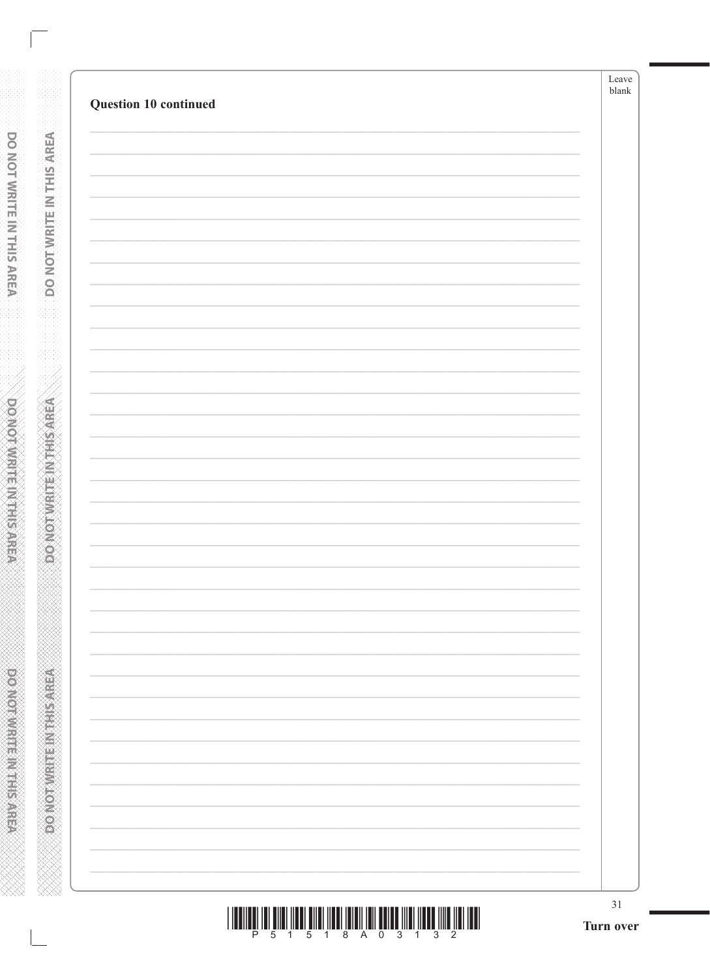DO NOT WRITE IN THIS AREA

**ABRAINE AND ARRAIGNMENT**